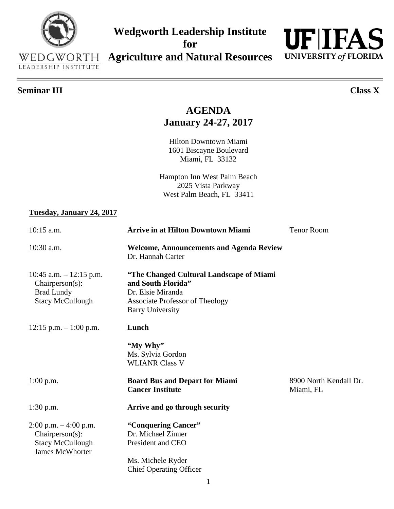# 1601 Biscayne Boulevard Miami, FL 33132 Hampton Inn West Palm Beach 2025 Vista Parkway West Palm Beach, FL 33411 10:15 a.m. **Arrive in at Hilton Downtown Miami** Tenor Room Dr. Hannah Carter Barry University **"My Why"** Ms. Sylvia Gordon WLIANR Class V

**AGENDA**

**Wedgworth Leadership Institute for** 

**Agriculture and Natural Resources**

**January 24-27, 2017**

Hilton Downtown Miami

#### **Tuesday, January 24, 2017**

| $10:30$ a.m.                                                                                        | <b>Welcome, Announcements and Agenda Review</b><br>Dr. Hannah Carter                                                                                     |                                     |
|-----------------------------------------------------------------------------------------------------|----------------------------------------------------------------------------------------------------------------------------------------------------------|-------------------------------------|
| 10:45 a.m. $-$ 12:15 p.m.<br>Chairperson(s):<br><b>Brad Lundy</b><br><b>Stacy McCullough</b>        | "The Changed Cultural Landscape of Miami<br>and South Florida"<br>Dr. Elsie Miranda<br><b>Associate Professor of Theology</b><br><b>Barry University</b> |                                     |
| $12:15$ p.m. $-1:00$ p.m.                                                                           | Lunch                                                                                                                                                    |                                     |
|                                                                                                     | "My Why"<br>Ms. Sylvia Gordon<br><b>WLIANR Class V</b>                                                                                                   |                                     |
| $1:00$ p.m.                                                                                         | <b>Board Bus and Depart for Miami</b><br><b>Cancer Institute</b>                                                                                         | 8900 North Kendall Dr.<br>Miami, FL |
| $1:30$ p.m.                                                                                         | Arrive and go through security                                                                                                                           |                                     |
| $2:00$ p.m. $-4:00$ p.m.<br>$Chairperson(s)$ :<br><b>Stacy McCullough</b><br><b>James McWhorter</b> | "Conquering Cancer"<br>Dr. Michael Zinner<br>President and CEO<br>Ms. Michele Ryder<br><b>Chief Operating Officer</b>                                    |                                     |



#### **Seminar III Class X**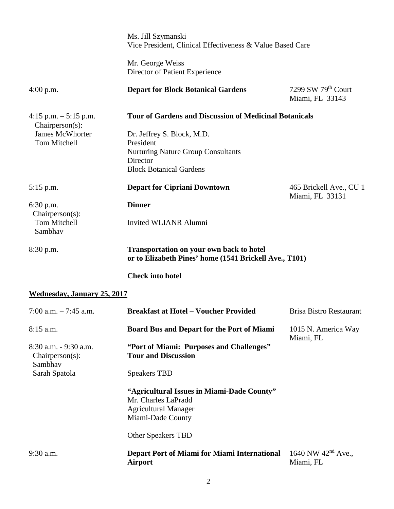|                                                        | Ms. Jill Szymanski<br>Vice President, Clinical Effectiveness & Value Based Care                                                    |                                             |
|--------------------------------------------------------|------------------------------------------------------------------------------------------------------------------------------------|---------------------------------------------|
|                                                        | Mr. George Weiss<br>Director of Patient Experience                                                                                 |                                             |
| $4:00$ p.m.                                            | <b>Depart for Block Botanical Gardens</b>                                                                                          | 7299 SW 79th Court<br>Miami, FL 33143       |
| 4:15 p.m. $-5:15$ p.m.<br>$Chairperson(s)$ :           | <b>Tour of Gardens and Discussion of Medicinal Botanicals</b>                                                                      |                                             |
| <b>James McWhorter</b><br>Tom Mitchell                 | Dr. Jeffrey S. Block, M.D.<br>President<br><b>Nurturing Nature Group Consultants</b><br>Director<br><b>Block Botanical Gardens</b> |                                             |
| $5:15$ p.m.                                            | <b>Depart for Cipriani Downtown</b>                                                                                                | 465 Brickell Ave., CU 1<br>Miami, FL 33131  |
| 6:30 p.m.                                              | <b>Dinner</b>                                                                                                                      |                                             |
| $Chairperson(s)$ :<br>Tom Mitchell<br>Sambhav          | <b>Invited WLIANR Alumni</b>                                                                                                       |                                             |
| 8:30 p.m.                                              | <b>Transportation on your own back to hotel</b><br>or to Elizabeth Pines' home (1541 Brickell Ave., T101)                          |                                             |
|                                                        | <b>Check into hotel</b>                                                                                                            |                                             |
| <b>Wednesday, January 25, 2017</b>                     |                                                                                                                                    |                                             |
| 7:00 a.m. $-7:45$ a.m.                                 | <b>Breakfast at Hotel - Voucher Provided</b>                                                                                       | <b>Brisa Bistro Restaurant</b>              |
| $8:15$ a.m.                                            | Board Bus and Depart for the Port of Miami                                                                                         | 1015 N. America Way<br>Miami, FL            |
| 8:30 a.m. - 9:30 a.m.<br>$Chairperson(s)$ :<br>Sambhav | "Port of Miami: Purposes and Challenges"<br><b>Tour and Discussion</b>                                                             |                                             |
| Sarah Spatola                                          | <b>Speakers TBD</b>                                                                                                                |                                             |
|                                                        | "Agricultural Issues in Miami-Dade County"<br>Mr. Charles LaPradd<br><b>Agricultural Manager</b><br>Miami-Dade County              |                                             |
|                                                        | <b>Other Speakers TBD</b>                                                                                                          |                                             |
| 9:30 a.m.                                              | <b>Depart Port of Miami for Miami International</b><br><b>Airport</b>                                                              | 1640 NW 42 <sup>nd</sup> Ave.,<br>Miami, FL |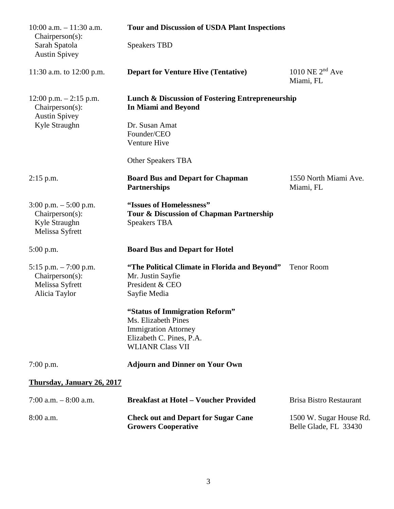| $10:00$ a.m. $-11:30$ a.m.<br>Chairperson(s):                                    | <b>Tour and Discussion of USDA Plant Inspections</b>                                                                                        |                                                  |
|----------------------------------------------------------------------------------|---------------------------------------------------------------------------------------------------------------------------------------------|--------------------------------------------------|
| Sarah Spatola<br><b>Austin Spivey</b>                                            | <b>Speakers TBD</b>                                                                                                                         |                                                  |
| 11:30 a.m. to 12:00 p.m.                                                         | <b>Depart for Venture Hive (Tentative)</b>                                                                                                  | 1010 NE $2nd$ Ave<br>Miami, FL                   |
| $12:00$ p.m. $-2:15$ p.m.<br>Chairperson(s):<br><b>Austin Spivey</b>             | <b>Lunch &amp; Discussion of Fostering Entrepreneurship</b><br><b>In Miami and Beyond</b>                                                   |                                                  |
| Kyle Straughn                                                                    | Dr. Susan Amat<br>Founder/CEO<br>Venture Hive                                                                                               |                                                  |
|                                                                                  | <b>Other Speakers TBA</b>                                                                                                                   |                                                  |
| $2:15$ p.m.                                                                      | <b>Board Bus and Depart for Chapman</b><br><b>Partnerships</b>                                                                              | 1550 North Miami Ave.<br>Miami, FL               |
| $3:00$ p.m. $-5:00$ p.m.<br>Chairperson(s):<br>Kyle Straughn<br>Melissa Syfrett  | "Issues of Homelessness"<br>Tour & Discussion of Chapman Partnership<br><b>Speakers TBA</b>                                                 |                                                  |
| $5:00$ p.m.                                                                      | <b>Board Bus and Depart for Hotel</b>                                                                                                       |                                                  |
| 5:15 p.m. $-7:00$ p.m.<br>$Chairperson(s)$ :<br>Melissa Syfrett<br>Alicia Taylor | "The Political Climate in Florida and Beyond"<br>Mr. Justin Sayfie<br>President & CEO<br>Sayfie Media                                       | <b>Tenor Room</b>                                |
|                                                                                  | "Status of Immigration Reform"<br>Ms. Elizabeth Pines<br><b>Immigration Attorney</b><br>Elizabeth C. Pines, P.A.<br><b>WLIANR Class VII</b> |                                                  |
| $7:00$ p.m.                                                                      | <b>Adjourn and Dinner on Your Own</b>                                                                                                       |                                                  |
| Thursday, January 26, 2017                                                       |                                                                                                                                             |                                                  |
| 7:00 a.m. $-8:00$ a.m.                                                           | <b>Breakfast at Hotel - Voucher Provided</b>                                                                                                | <b>Brisa Bistro Restaurant</b>                   |
| 8:00 a.m.                                                                        | <b>Check out and Depart for Sugar Cane</b><br><b>Growers Cooperative</b>                                                                    | 1500 W. Sugar House Rd.<br>Belle Glade, FL 33430 |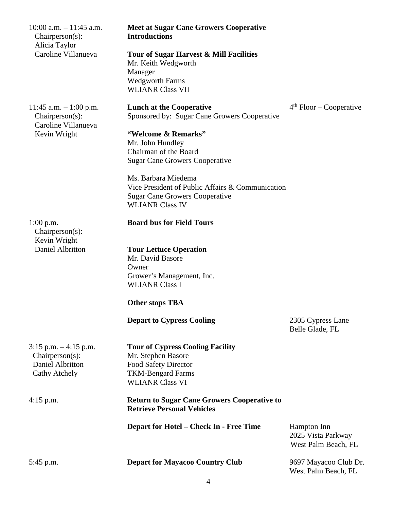| $10:00$ a.m. $-11:45$ a.m.<br>Chairperson(s):<br>Alicia Taylor                   | <b>Meet at Sugar Cane Growers Cooperative</b><br><b>Introductions</b>                                                                       |                                                          |
|----------------------------------------------------------------------------------|---------------------------------------------------------------------------------------------------------------------------------------------|----------------------------------------------------------|
| Caroline Villanueva                                                              | Tour of Sugar Harvest & Mill Facilities<br>Mr. Keith Wedgworth<br>Manager<br><b>Wedgworth Farms</b><br><b>WLIANR Class VII</b>              |                                                          |
| 11:45 a.m. $-1:00$ p.m.<br>$Chairperson(s)$ :<br>Caroline Villanueva             | <b>Lunch at the Cooperative</b><br>Sponsored by: Sugar Cane Growers Cooperative                                                             | $4th$ Floor – Cooperative                                |
| Kevin Wright                                                                     | "Welcome & Remarks"<br>Mr. John Hundley<br>Chairman of the Board                                                                            |                                                          |
|                                                                                  | <b>Sugar Cane Growers Cooperative</b>                                                                                                       |                                                          |
|                                                                                  | Ms. Barbara Miedema<br>Vice President of Public Affairs & Communication<br><b>Sugar Cane Growers Cooperative</b><br><b>WLIANR Class IV</b>  |                                                          |
| $1:00$ p.m.<br>$Chairperson(s)$ :<br>Kevin Wright                                | <b>Board bus for Field Tours</b>                                                                                                            |                                                          |
| Daniel Albritton                                                                 | <b>Tour Lettuce Operation</b><br>Mr. David Basore<br>Owner                                                                                  |                                                          |
|                                                                                  | Grower's Management, Inc.<br><b>WLIANR Class I</b>                                                                                          |                                                          |
|                                                                                  | <b>Other stops TBA</b>                                                                                                                      |                                                          |
|                                                                                  | <b>Depart to Cypress Cooling</b>                                                                                                            | 2305 Cypress Lane<br>Belle Glade, FL                     |
| $3:15$ p.m. $-4:15$ p.m.<br>Chairperson(s):<br>Daniel Albritton<br>Cathy Atchely | <b>Tour of Cypress Cooling Facility</b><br>Mr. Stephen Basore<br>Food Safety Director<br><b>TKM-Bengard Farms</b><br><b>WLIANR Class VI</b> |                                                          |
| $4:15$ p.m.                                                                      | <b>Return to Sugar Cane Growers Cooperative to</b><br><b>Retrieve Personal Vehicles</b>                                                     |                                                          |
|                                                                                  | <b>Depart for Hotel – Check In - Free Time</b>                                                                                              | Hampton Inn<br>2025 Vista Parkway<br>West Palm Beach, FL |
| 5:45 p.m.                                                                        | <b>Depart for Mayacoo Country Club</b>                                                                                                      | 9697 Mayacoo Club Dr.<br>West Palm Beach, FL             |